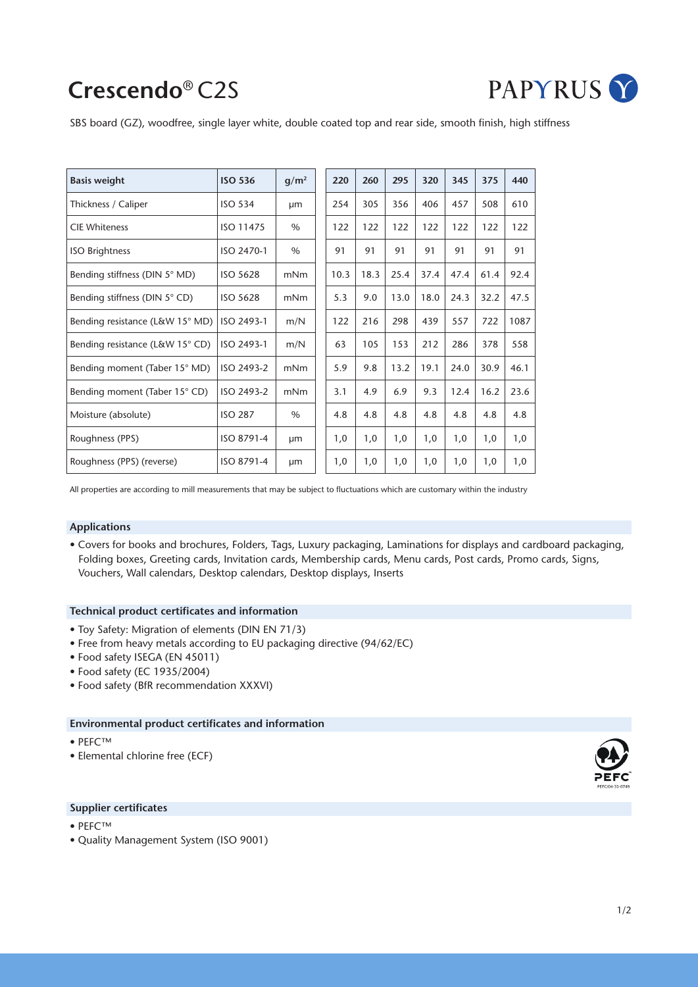# **Crescendo**® C2S



SBS board (GZ), woodfree, single layer white, double coated top and rear side, smooth finish, high stiffness

| <b>Basis weight</b>             | <b>ISO 536</b>  | $q/m^2$ | 220  | 260  | 295  | 320  | 345  | 375  | 440  |
|---------------------------------|-----------------|---------|------|------|------|------|------|------|------|
| Thickness / Caliper             | <b>ISO 534</b>  | µm      | 254  | 305  | 356  | 406  | 457  | 508  | 610  |
| <b>CIE Whiteness</b>            | ISO 11475       | $\%$    | 122  | 122  | 122  | 122  | 122  | 122  | 122  |
| <b>ISO Brightness</b>           | ISO 2470-1      | $\%$    | 91   | 91   | 91   | 91   | 91   | 91   | 91   |
| Bending stiffness (DIN 5° MD)   | <b>ISO 5628</b> | mNm     | 10.3 | 18.3 | 25.4 | 37.4 | 47.4 | 61.4 | 92.4 |
| Bending stiffness (DIN 5° CD)   | <b>ISO 5628</b> | mNm     | 5.3  | 9.0  | 13.0 | 18.0 | 24.3 | 32.2 | 47.5 |
| Bending resistance (L&W 15° MD) | ISO 2493-1      | m/N     | 122  | 216  | 298  | 439  | 557  | 722  | 1087 |
| Bending resistance (L&W 15° CD) | ISO 2493-1      | m/N     | 63   | 105  | 153  | 212  | 286  | 378  | 558  |
| Bending moment (Taber 15° MD)   | ISO 2493-2      | mNm     | 5.9  | 9.8  | 13.2 | 19.1 | 24.0 | 30.9 | 46.1 |
| Bending moment (Taber 15° CD)   | ISO 2493-2      | mNm     | 3.1  | 4.9  | 6.9  | 9.3  | 12.4 | 16.2 | 23.6 |
| Moisture (absolute)             | <b>ISO 287</b>  | $\%$    | 4.8  | 4.8  | 4.8  | 4.8  | 4.8  | 4.8  | 4.8  |
| Roughness (PPS)                 | ISO 8791-4      | µm      | 1,0  | 1,0  | 1,0  | 1,0  | 1,0  | 1,0  | 1,0  |
| Roughness (PPS) (reverse)       | ISO 8791-4      | µm      | 1,0  | 1,0  | 1,0  | 1,0  | 1,0  | 1,0  | 1,0  |

All properties are according to mill measurements that may be subject to fluctuations which are customary within the industry

#### **Applications**

• Covers for books and brochures, Folders, Tags, Luxury packaging, Laminations for displays and cardboard packaging, Folding boxes, Greeting cards, Invitation cards, Membership cards, Menu cards, Post cards, Promo cards, Signs, Vouchers, Wall calendars, Desktop calendars, Desktop displays, Inserts

#### **Technical product certificates and information**

- Toy Safety: Migration of elements (DIN EN 71/3)
- Free from heavy metals according to EU packaging directive (94/62/EC)
- Food safety ISEGA (EN 45011)
- Food safety (EC 1935/2004)
- Food safety (BfR recommendation XXXVI)

### **Environmental product certificates and information**

- PEFC™
- Elemental chlorine free (ECF)

#### **Supplier certificates**

- PEFC™
- Quality Management System (ISO 9001)